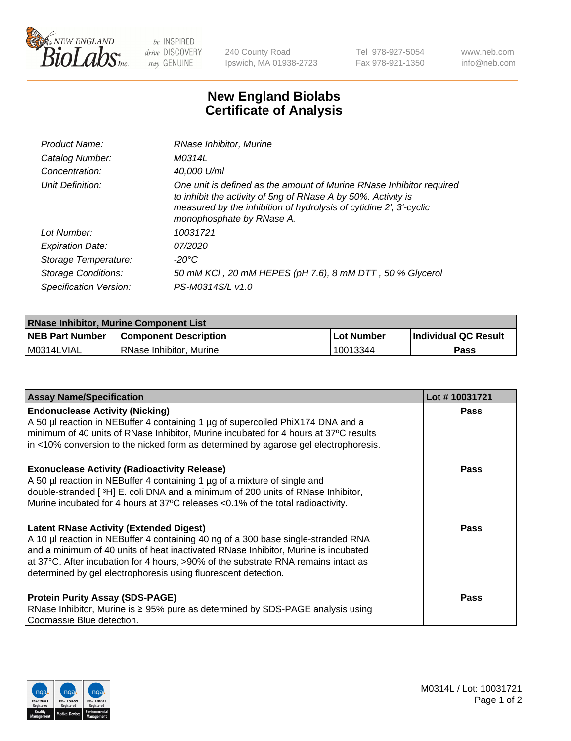

 $be$  INSPIRED drive DISCOVERY stay GENUINE

240 County Road Ipswich, MA 01938-2723 Tel 978-927-5054 Fax 978-921-1350 www.neb.com info@neb.com

## **New England Biolabs Certificate of Analysis**

| Product Name:              | RNase Inhibitor, Murine                                                                                                                                                                                                                  |
|----------------------------|------------------------------------------------------------------------------------------------------------------------------------------------------------------------------------------------------------------------------------------|
| Catalog Number:            | M0314L                                                                                                                                                                                                                                   |
| Concentration:             | 40,000 U/ml                                                                                                                                                                                                                              |
| Unit Definition:           | One unit is defined as the amount of Murine RNase Inhibitor required<br>to inhibit the activity of 5ng of RNase A by 50%. Activity is<br>measured by the inhibition of hydrolysis of cytidine 2', 3'-cyclic<br>monophosphate by RNase A. |
| Lot Number:                | 10031721                                                                                                                                                                                                                                 |
| <b>Expiration Date:</b>    | 07/2020                                                                                                                                                                                                                                  |
| Storage Temperature:       | -20°C                                                                                                                                                                                                                                    |
| <b>Storage Conditions:</b> | 50 mM KCl, 20 mM HEPES (pH 7.6), 8 mM DTT, 50 % Glycerol                                                                                                                                                                                 |
| Specification Version:     | PS-M0314S/L v1.0                                                                                                                                                                                                                         |

| <b>RNase Inhibitor, Murine Component List</b> |                              |                   |                             |  |
|-----------------------------------------------|------------------------------|-------------------|-----------------------------|--|
| <b>NEB Part Number</b>                        | <b>Component Description</b> | <b>Lot Number</b> | <b>Individual QC Result</b> |  |
| M0314LVIAL                                    | l RNase Inhibitor. Murine    | 10013344          | <b>Pass</b>                 |  |

| <b>Assay Name/Specification</b>                                                                                                                                                                                                                                                                                                                                                   | Lot #10031721 |
|-----------------------------------------------------------------------------------------------------------------------------------------------------------------------------------------------------------------------------------------------------------------------------------------------------------------------------------------------------------------------------------|---------------|
| <b>Endonuclease Activity (Nicking)</b><br>A 50 µl reaction in NEBuffer 4 containing 1 µg of supercoiled PhiX174 DNA and a<br>minimum of 40 units of RNase Inhibitor, Murine incubated for 4 hours at 37°C results<br>in <10% conversion to the nicked form as determined by agarose gel electrophoresis.                                                                          | Pass          |
| <b>Exonuclease Activity (Radioactivity Release)</b><br>A 50 µl reaction in NEBuffer 4 containing 1 µg of a mixture of single and<br>double-stranded [3H] E. coli DNA and a minimum of 200 units of RNase Inhibitor,<br>Murine incubated for 4 hours at 37°C releases <0.1% of the total radioactivity.                                                                            | <b>Pass</b>   |
| <b>Latent RNase Activity (Extended Digest)</b><br>A 10 µl reaction in NEBuffer 4 containing 40 ng of a 300 base single-stranded RNA<br>and a minimum of 40 units of heat inactivated RNase Inhibitor, Murine is incubated<br>at 37°C. After incubation for 4 hours, >90% of the substrate RNA remains intact as<br>determined by gel electrophoresis using fluorescent detection. | <b>Pass</b>   |
| <b>Protein Purity Assay (SDS-PAGE)</b><br>RNase Inhibitor, Murine is ≥ 95% pure as determined by SDS-PAGE analysis using<br>Coomassie Blue detection.                                                                                                                                                                                                                             | Pass          |